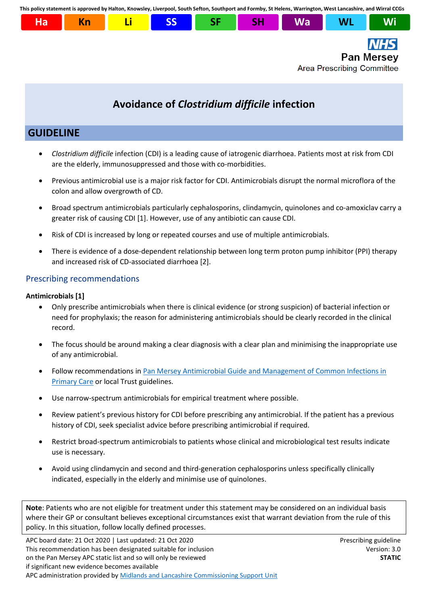**This policy statement is approved by Halton, Knowsley, Liverpool, South Sefton, Southport and Formby, St Helens, Warrington, West Lancashire, and Wirral CCGs**



# **Avoidance of** *Clostridium difficile* **infection**

## **GUIDELINE**

- *Clostridium difficile* infection (CDI) is a leading cause of iatrogenic diarrhoea. Patients most at risk from CDI are the elderly, immunosuppressed and those with co-morbidities.
- Previous antimicrobial use is a major risk factor for CDI. Antimicrobials disrupt the normal microflora of the colon and allow overgrowth of CD.
- Broad spectrum antimicrobials particularly cephalosporins, clindamycin, quinolones and co-amoxiclav carry a greater risk of causing CDI [1]. However, use of any antibiotic can cause CDI.
- Risk of CDI is increased by long or repeated courses and use of multiple antimicrobials.
- There is evidence of a dose-dependent relationship between long term proton pump inhibitor (PPI) therapy and increased risk of CD-associated diarrhoea [2].

### Prescribing recommendations

#### **Antimicrobials [1]**

- Only prescribe antimicrobials when there is clinical evidence (or strong suspicion) of bacterial infection or need for prophylaxis; the reason for administering antimicrobials should be clearly recorded in the clinical record.
- The focus should be around making a clear diagnosis with a clear plan and minimising the inappropriate use of any antimicrobial.
- Follow recommendations in [Pan Mersey Antimicrobial Guide and Management of Common Infections in](http://formulary.panmerseyapc.nhs.uk/chaptersSub.asp?FormularySectionID=27)  [Primary Care](http://formulary.panmerseyapc.nhs.uk/chaptersSub.asp?FormularySectionID=27) or local Trust guidelines.
- Use narrow-spectrum antimicrobials for empirical treatment where possible.
- Review patient's previous history for CDI before prescribing any antimicrobial. If the patient has a previous history of CDI, seek specialist advice before prescribing antimicrobial if required.
- Restrict broad-spectrum antimicrobials to patients whose clinical and microbiological test results indicate use is necessary.
- Avoid using clindamycin and second and third-generation cephalosporins unless specifically clinically indicated, especially in the elderly and minimise use of quinolones.

**Note**: Patients who are not eligible for treatment under this statement may be considered on an individual basis where their GP or consultant believes exceptional circumstances exist that warrant deviation from the rule of this policy. In this situation, follow locally defined processes.

APC board date: 21 Oct 2020 | Last updated: 21 Oct 2020 Prescribing guideline This recommendation has been designated suitable for inclusion Version: 3.0 on the Pan Mersey APC static list and so will only be reviewed **STATIC** if significant new evidence becomes available APC administration provided by [Midlands and Lancashire Commissioning Support Unit](https://www.midlandsandlancashirecsu.nhs.uk/)